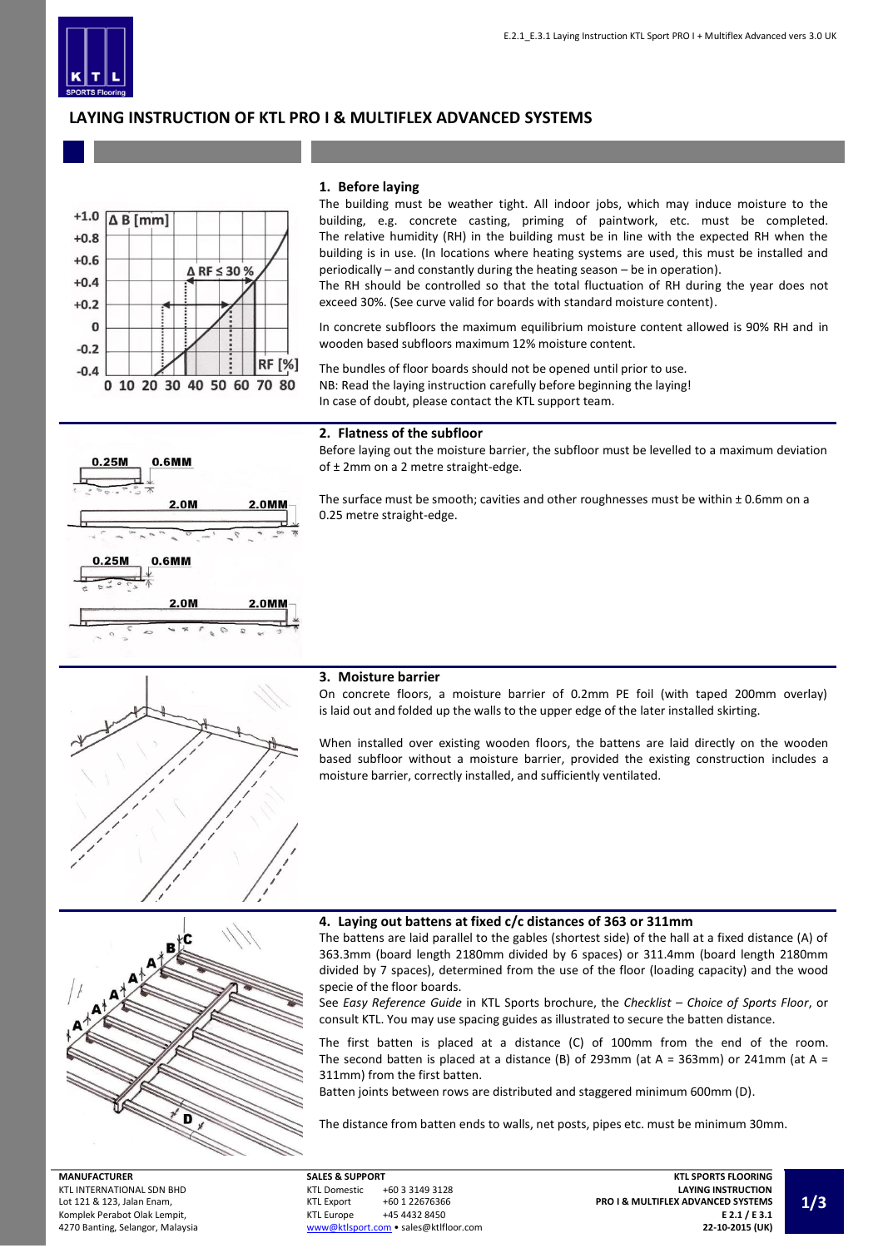

# **LAYING INSTRUCTION OF KTL PRO I & MULTIFLEX ADVANCED SYSTEMS**



#### **1. Before laying**

The building must be weather tight. All indoor jobs, which may induce moisture to the building, e.g. concrete casting, priming of paintwork, etc. must be completed. The relative humidity (RH) in the building must be in line with the expected RH when the building is in use. (In locations where heating systems are used, this must be installed and periodically – and constantly during the heating season – be in operation).

The RH should be controlled so that the total fluctuation of RH during the year does not exceed 30%. (See curve valid for boards with standard moisture content).

In concrete subfloors the maximum equilibrium moisture content allowed is 90% RH and in wooden based subfloors maximum 12% moisture content.

The bundles of floor boards should not be opened until prior to use. NB: Read the laying instruction carefully before beginning the laying! In case of doubt, please contact the KTL support team.



#### **2. Flatness of the subfloor**

Before laying out the moisture barrier, the subfloor must be levelled to a maximum deviation of ± 2mm on a 2 metre straight-edge.

The surface must be smooth; cavities and other roughnesses must be within  $\pm$  0.6mm on a 0.25 metre straight-edge.

### **3. Moisture barrier**

On concrete floors, a moisture barrier of 0.2mm PE foil (with taped 200mm overlay) is laid out and folded up the walls to the upper edge of the later installed skirting.

When installed over existing wooden floors, the battens are laid directly on the wooden based subfloor without a moisture barrier, provided the existing construction includes a moisture barrier, correctly installed, and sufficiently ventilated.



**MANUFACTURER** KTL INTERNATIONAL SDN BHD Lot 121 & 123, Jalan Enam, Komplek Perabot Olak Lempit, 4270 Banting, Selangor, Malaysia

#### **4. Laying out battens at fixed c/c distances of 363 or 311mm**

The battens are laid parallel to the gables (shortest side) of the hall at a fixed distance (A) of 363.3mm (board length 2180mm divided by 6 spaces) or 311.4mm (board length 2180mm divided by 7 spaces), determined from the use of the floor (loading capacity) and the wood specie of the floor boards.

See *Easy Reference Guide* in KTL Sports brochure, the *Checklist – Choice of Sports Floor*, or consult KTL. You may use spacing guides as illustrated to secure the batten distance.

The first batten is placed at a distance (C) of 100mm from the end of the room. The second batten is placed at a distance (B) of 293mm (at A = 363mm) or 241mm (at A = 311mm) from the first batten.

Batten joints between rows are distributed and staggered minimum 600mm (D).

The distance from batten ends to walls, net posts, pipes etc. must be minimum 30mm.

| <b>SALES &amp; SUPPORT</b> |                                       |
|----------------------------|---------------------------------------|
| <b>KTL Domestic</b>        | +60 3 3149 3128                       |
| <b>KTL Export</b>          | +60 1 22676366                        |
| <b>KTL Europe</b>          | +45 4432 8450                         |
|                            | www@ktlsport.com • sales@ktlfloor.com |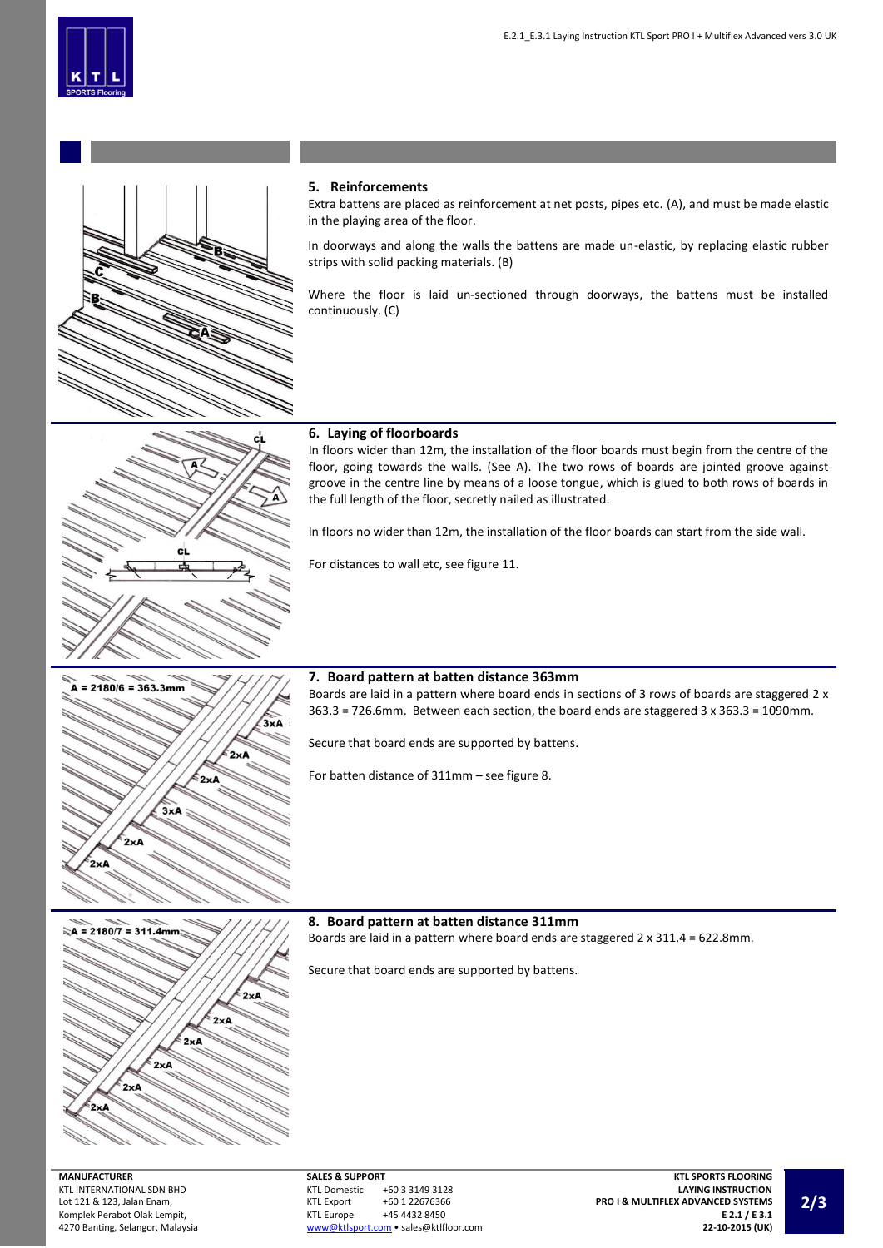



c.

### **5. Reinforcements**

Extra battens are placed as reinforcement at net posts, pipes etc. (A), and must be made elastic in the playing area of the floor.

In doorways and along the walls the battens are made un-elastic, by replacing elastic rubber strips with solid packing materials. (B)

Where the floor is laid un-sectioned through doorways, the battens must be installed continuously. (C)

#### **6. Laying of floorboards**

In floors wider than 12m, the installation of the floor boards must begin from the centre of the floor, going towards the walls. (See A). The two rows of boards are jointed groove against groove in the centre line by means of a loose tongue, which is glued to both rows of boards in the full length of the floor, secretly nailed as illustrated.

In floors no wider than 12m, the installation of the floor boards can start from the side wall.

For distances to wall etc, see figure 11.



#### **7. Board pattern at batten distance 363mm**

Boards are laid in a pattern where board ends in sections of 3 rows of boards are staggered 2 x 363.3 = 726.6mm. Between each section, the board ends are staggered 3 x 363.3 = 1090mm.

Secure that board ends are supported by battens.

For batten distance of 311mm – see figure 8.



# **8. Board pattern at batten distance 311mm**

Boards are laid in a pattern where board ends are staggered 2 x 311.4 = 622.8mm.

Secure that board ends are supported by battens.